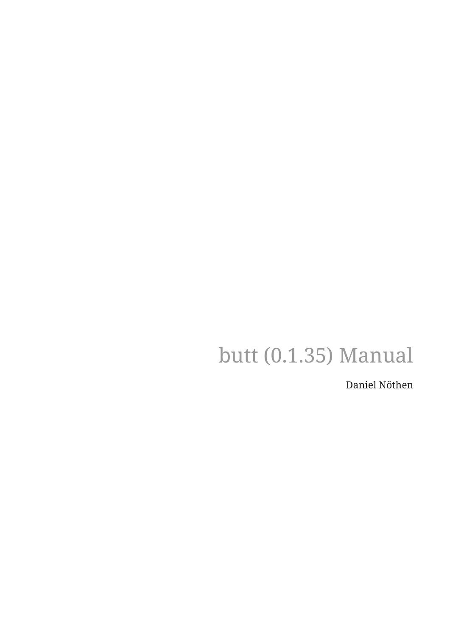# butt (0.1.35) Manual

Daniel Nöthen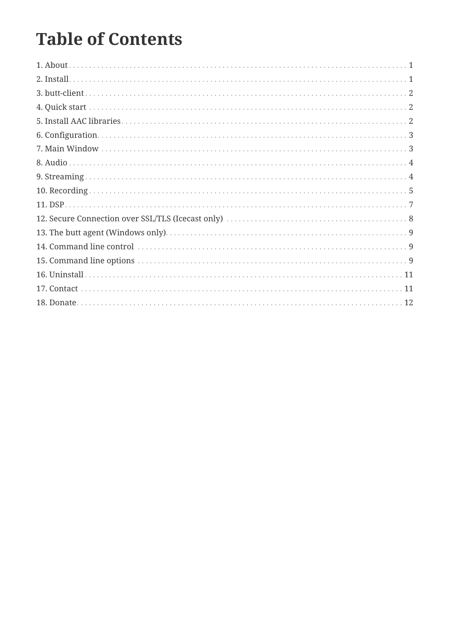### **Table of Contents**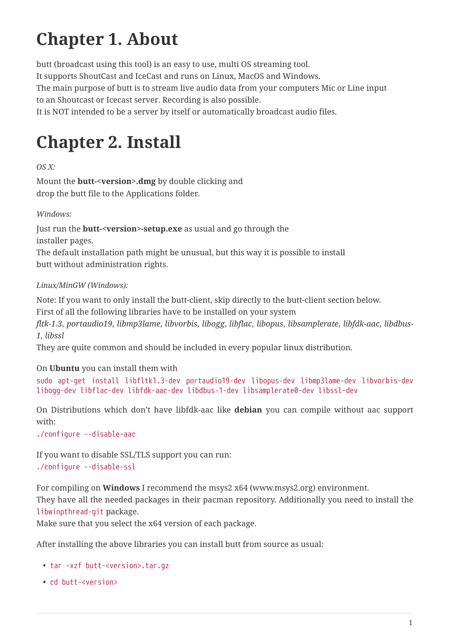# <span id="page-2-0"></span>**Chapter 1. About**

butt (broadcast using this tool) is an easy to use, multi OS streaming tool. It supports ShoutCast and IceCast and runs on Linux, MacOS and Windows. The main purpose of butt is to stream live audio data from your computers Mic or Line input to an Shoutcast or Icecast server. Recording is also possible. It is NOT intended to be a server by itself or automatically broadcast audio files.

### <span id="page-2-1"></span>**Chapter 2. Install**

*OS X:*

Mount the **butt-<version>.dmg** by double clicking and drop the butt file to the Applications folder.

*Windows:*

Just run the **butt-<version>-setup.exe** as usual and go through the installer pages.

The default installation path might be unusual, but this way it is possible to install butt without administration rights.

<span id="page-2-2"></span>*Linux/MinGW (Windows):*

Note: If you want to only install the butt-client, skip directly to the butt-client section below.

First of all the following libraries have to be installed on your system

*fltk-1.3*, *portaudio19*, *libmp3lame*, *libvorbis*, *libogg*, *libflac*, *libopus*, *libsamplerate*, *libfdk-aac*, *libdbus-1, libssl*

They are quite common and should be included in every popular linux distribution.

### On **Ubuntu** you can install them with

sudo apt-get install libfltk1.3-dev portaudio19-dev libopus-dev libmp3lame-dev libvorbis-dev libogg-dev libflac-dev libfdk-aac-dev libdbus-1-dev libsamplerate0-dev libssl-dev

On Distributions which don't have libfdk-aac like **debian** you can compile without aac support with:

./configure --disable-aac

If you want to disable SSL/TLS support you can run: ./configure --disable-ssl

For compiling on **Windows** I recommend the msys2 x64 (www.msys2.org) environment.

They have all the needed packages in their pacman repository. Additionally you need to install the libwinpthread-git package.

Make sure that you select the x64 version of each package.

After installing the above libraries you can install butt from source as usual:

- tar -xzf butt-<version>.tar.gz
- cd butt-<version>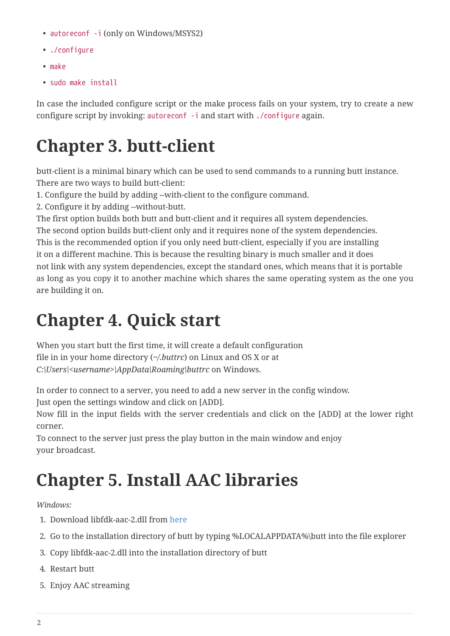- autoreconf -i (only on Windows/MSYS2)
- ./configure
- make
- sudo make install

In case the included configure script or the make process fails on your system, try to create a new configure script by invoking: autoreconf -i and start with ./configure again.

### <span id="page-3-0"></span>**Chapter 3. butt-client**

butt-client is a minimal binary which can be used to send commands to a running butt instance. There are two ways to build butt-client:

- 1. Configure the build by adding --with-client to the configure command.
- 2. Configure it by adding --without-butt.

The first option builds both butt and butt-client and it requires all system dependencies.

The second option builds butt-client only and it requires none of the system dependencies. This is the recommended option if you only need butt-client, especially if you are installing it on a different machine. This is because the resulting binary is much smaller and it does not link with any system dependencies, except the standard ones, which means that it is portable as long as you copy it to another machine which shares the same operating system as the one you are building it on.

### <span id="page-3-1"></span>**Chapter 4. Quick start**

When you start butt the first time, it will create a default configuration file in in your home directory (*~/.buttrc*) on Linux and OS X or at *C:\Users\<username>\AppData\Roaming\buttrc* on Windows.

In order to connect to a server, you need to add a new server in the config window.

Just open the settings window and click on [ADD].

Now fill in the input fields with the server credentials and click on the [ADD] at the lower right corner.

To connect to the server just press the play button in the main window and enjoy your broadcast.

### <span id="page-3-2"></span>**Chapter 5. Install AAC libraries**

*Windows:*

- 1. Download libfdk-aac-2.dll from [here](https://sourceforge.net/projects/butt/files/butt/butt-0.1.35/AAC/libfdk-aac-2.dll/download)
- 2. Go to the installation directory of butt by typing %LOCALAPPDATA%\butt into the file explorer
- 3. Copy libfdk-aac-2.dll into the installation directory of butt
- 4. Restart butt
- 5. Enjoy AAC streaming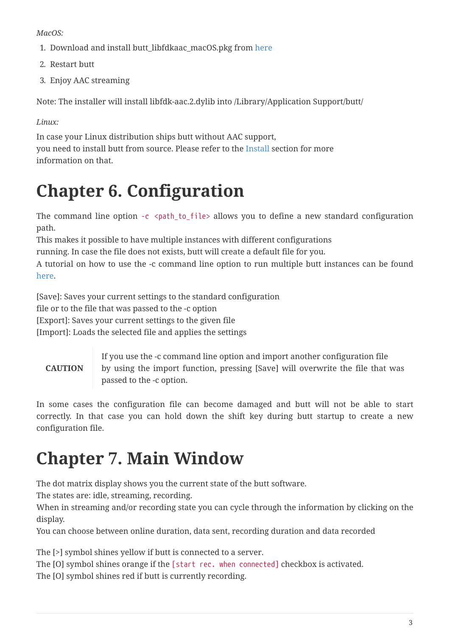*MacOS:*

- 1. Download and install butt\_libfdkaac\_macOS.pkg from [here](https://sourceforge.net/projects/butt/files/butt/butt-0.1.35/AAC/butt_libfdkaac_macOS.pkg/download)
- 2. Restart butt
- 3. Enjoy AAC streaming

Note: The installer will install libfdk-aac.2.dylib into /Library/Application Support/butt/

### *Linux:*

In case your Linux distribution ships butt without AAC support, you need to install butt from source. Please refer to the [Install](#page-2-2) section for more information on that.

# <span id="page-4-0"></span>**Chapter 6. Configuration**

The command line option -c <path\_to\_file> allows you to define a new standard configuration path.

This makes it possible to have multiple instances with different configurations

running. In case the file does not exists, butt will create a default file for you.

A tutorial on how to use the -c command line option to run multiple butt instances can be found [here](http://danielnoethen.de/butt/howtos/multiple_servers.html).

[Save]: Saves your current settings to the standard configuration

file or to the file that was passed to the -c option

[Export]: Saves your current settings to the given file

[Import]: Loads the selected file and applies the settings

### **CAUTION**

If you use the -c command line option and import another configuration file by using the import function, pressing [Save] will overwrite the file that was passed to the -c option.

In some cases the configuration file can become damaged and butt will not be able to start correctly. In that case you can hold down the shift key during butt startup to create a new configuration file.

# <span id="page-4-1"></span>**Chapter 7. Main Window**

The dot matrix display shows you the current state of the butt software.

The states are: idle, streaming, recording.

When in streaming and/or recording state you can cycle through the information by clicking on the display.

You can choose between online duration, data sent, recording duration and data recorded

The [>] symbol shines yellow if butt is connected to a server.

The [O] symbol shines orange if the [start rec. when connected] checkbox is activated.

The [O] symbol shines red if butt is currently recording.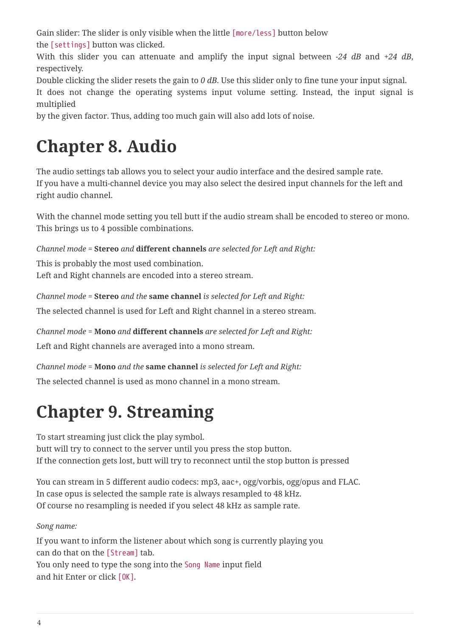Gain slider: The slider is only visible when the little [more/less] button below

the [settings] button was clicked.

With this slider you can attenuate and amplify the input signal between *-24 dB* and *+24 dB*, respectively.

Double clicking the slider resets the gain to *0 dB*. Use this slider only to fine tune your input signal.

It does not change the operating systems input volume setting. Instead, the input signal is multiplied

by the given factor. Thus, adding too much gain will also add lots of noise.

# <span id="page-5-0"></span>**Chapter 8. Audio**

The audio settings tab allows you to select your audio interface and the desired sample rate. If you have a multi-channel device you may also select the desired input channels for the left and right audio channel.

With the channel mode setting you tell butt if the audio stream shall be encoded to stereo or mono. This brings us to 4 possible combinations.

*Channel mode =* **Stereo** *and* **different channels** *are selected for Left and Right:*

This is probably the most used combination. Left and Right channels are encoded into a stereo stream.

*Channel mode =* **Stereo** *and the* **same channel** *is selected for Left and Right:*

The selected channel is used for Left and Right channel in a stereo stream.

*Channel mode =* **Mono** *and* **different channels** *are selected for Left and Right:*

Left and Right channels are averaged into a mono stream.

*Channel mode =* **Mono** *and the* **same channel** *is selected for Left and Right:* The selected channel is used as mono channel in a mono stream.

# <span id="page-5-1"></span>**Chapter 9. Streaming**

To start streaming just click the play symbol.

butt will try to connect to the server until you press the stop button. If the connection gets lost, butt will try to reconnect until the stop button is pressed

You can stream in 5 different audio codecs: mp3, aac+, ogg/vorbis, ogg/opus and FLAC. In case opus is selected the sample rate is always resampled to 48 kHz. Of course no resampling is needed if you select 48 kHz as sample rate.

*Song name:*

If you want to inform the listener about which song is currently playing you can do that on the [Stream] tab. You only need to type the song into the Song Name input field and hit Enter or click [OK].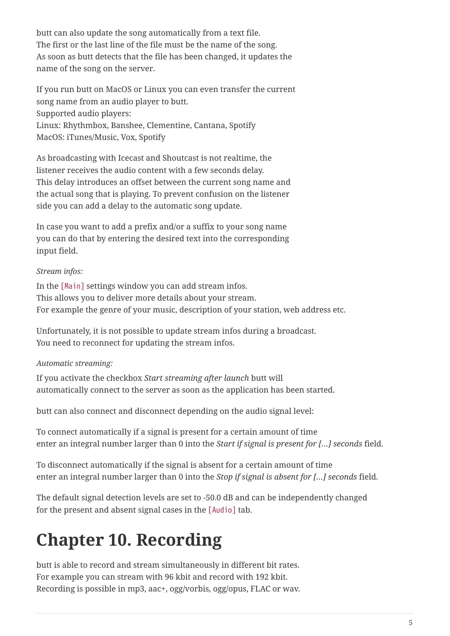butt can also update the song automatically from a text file. The first or the last line of the file must be the name of the song. As soon as butt detects that the file has been changed, it updates the name of the song on the server.

If you run butt on MacOS or Linux you can even transfer the current song name from an audio player to butt. Supported audio players: Linux: Rhythmbox, Banshee, Clementine, Cantana, Spotify MacOS: iTunes/Music, Vox, Spotify

As broadcasting with Icecast and Shoutcast is not realtime, the listener receives the audio content with a few seconds delay. This delay introduces an offset between the current song name and the actual song that is playing. To prevent confusion on the listener side you can add a delay to the automatic song update.

In case you want to add a prefix and/or a suffix to your song name you can do that by entering the desired text into the corresponding input field.

#### *Stream infos:*

In the [Main] settings window you can add stream infos. This allows you to deliver more details about your stream. For example the genre of your music, description of your station, web address etc.

Unfortunately, it is not possible to update stream infos during a broadcast. You need to reconnect for updating the stream infos.

#### *Automatic streaming:*

If you activate the checkbox *Start streaming after launch* butt will automatically connect to the server as soon as the application has been started.

butt can also connect and disconnect depending on the audio signal level:

To connect automatically if a signal is present for a certain amount of time enter an integral number larger than 0 into the *Start if signal is present for […] seconds* field.

To disconnect automatically if the signal is absent for a certain amount of time enter an integral number larger than 0 into the *Stop if signal is absent for […] seconds* field.

The default signal detection levels are set to -50.0 dB and can be independently changed for the present and absent signal cases in the [Audio] tab.

# <span id="page-6-0"></span>**Chapter 10. Recording**

butt is able to record and stream simultaneously in different bit rates. For example you can stream with 96 kbit and record with 192 kbit. Recording is possible in mp3, aac+, ogg/vorbis, ogg/opus, FLAC or wav.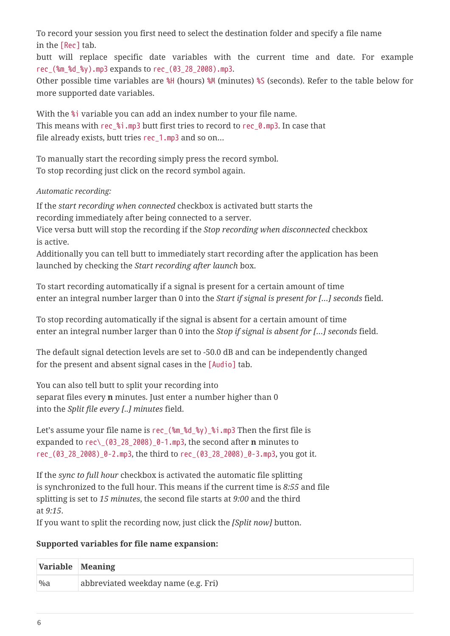To record your session you first need to select the destination folder and specify a file name in the [Rec] tab.

butt will replace specific date variables with the current time and date. For example rec\_(%m\_%d\_%y).mp3 expands to rec\_(03\_28\_2008).mp3.

Other possible time variables are %H (hours) %M (minutes) %S (seconds). Refer to the table below for more supported date variables.

With the %i variable you can add an index number to your file name. This means with rec  $\frac{1}{2}$  i.mp3 butt first tries to record to rec 0.mp3. In case that file already exists, butt tries rec\_1.mp3 and so on…

To manually start the recording simply press the record symbol. To stop recording just click on the record symbol again.

#### *Automatic recording:*

If the *start recording when connected* checkbox is activated butt starts the recording immediately after being connected to a server.

Vice versa butt will stop the recording if the *Stop recording when disconnected* checkbox is active.

Additionally you can tell butt to immediately start recording after the application has been launched by checking the *Start recording after launch* box.

To start recording automatically if a signal is present for a certain amount of time enter an integral number larger than 0 into the *Start if signal is present for […] seconds* field.

To stop recording automatically if the signal is absent for a certain amount of time enter an integral number larger than 0 into the *Stop if signal is absent for […] seconds* field.

The default signal detection levels are set to -50.0 dB and can be independently changed for the present and absent signal cases in the [Audio] tab.

You can also tell butt to split your recording into separat files every **n** minutes. Just enter a number higher than 0 into the *Split file every [..] minutes* field.

Let's assume your file name is rec\_(%m\_%d\_%y)\_%i.mp3 Then the first file is expanded to rec\\_(03\_28\_2008)\_0-1.mp3, the second after **n** minutes to rec\_(03\_28\_2008)\_0-2.mp3, the third to rec\_(03\_28\_2008)\_0-3.mp3, you got it.

If the *sync to full hour* checkbox is activated the automatic file splitting is synchronized to the full hour. This means if the current time is *8:55* and file splitting is set to *15 minutes*, the second file starts at *9:00* and the third at *9:15*.

If you want to split the recording now, just click the *[Split now]* button.

#### **Supported variables for file name expansion:**

| Variable Meaning |                                     |
|------------------|-------------------------------------|
| $\%a$            | abbreviated weekday name (e.g. Fri) |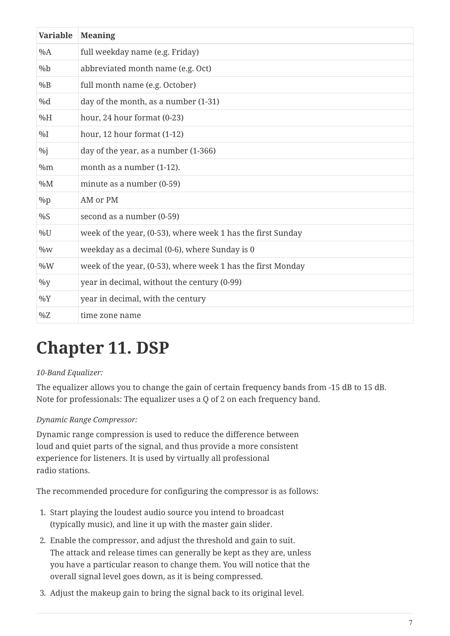| <b>Variable</b> | <b>Meaning</b>                                              |
|-----------------|-------------------------------------------------------------|
| $\%A$           | full weekday name (e.g. Friday)                             |
| $\%b$           | abbreviated month name (e.g. Oct)                           |
| $\%B$           | full month name (e.g. October)                              |
| %d              | day of the month, as a number (1-31)                        |
| %H              | hour, 24 hour format (0-23)                                 |
| $\%$ I          | hour, 12 hour format (1-12)                                 |
| $\%$ j          | day of the year, as a number (1-366)                        |
| %m              | month as a number (1-12).                                   |
| $\%M$           | minute as a number (0-59)                                   |
| $\%p$           | AM or PM                                                    |
| %S              | second as a number (0-59)                                   |
| $\%$ U          | week of the year, (0-53), where week 1 has the first Sunday |
| $\%W$           | weekday as a decimal (0-6), where Sunday is 0               |
| $\%W$           | week of the year, (0-53), where week 1 has the first Monday |
| $\%$ y          | year in decimal, without the century (0-99)                 |
| $\%$ Y          | year in decimal, with the century                           |
| $\%Z$           | time zone name                                              |

### <span id="page-8-0"></span>**Chapter 11. DSP**

#### *10-Band Equalizer:*

The equalizer allows you to change the gain of certain frequency bands from -15 dB to 15 dB. Note for professionals: The equalizer uses a Q of 2 on each frequency band.

#### *Dynamic Range Compressor:*

Dynamic range compression is used to reduce the difference between loud and quiet parts of the signal, and thus provide a more consistent experience for listeners. It is used by virtually all professional radio stations.

The recommended procedure for configuring the compressor is as follows:

- 1. Start playing the loudest audio source you intend to broadcast (typically music), and line it up with the master gain slider.
- 2. Enable the compressor, and adjust the threshold and gain to suit. The attack and release times can generally be kept as they are, unless you have a particular reason to change them. You will notice that the overall signal level goes down, as it is being compressed.
- 3. Adjust the makeup gain to bring the signal back to its original level.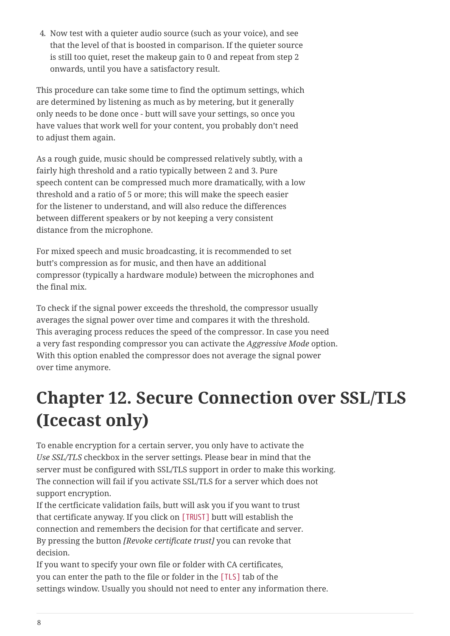4. Now test with a quieter audio source (such as your voice), and see that the level of that is boosted in comparison. If the quieter source is still too quiet, reset the makeup gain to 0 and repeat from step 2 onwards, until you have a satisfactory result.

This procedure can take some time to find the optimum settings, which are determined by listening as much as by metering, but it generally only needs to be done once - butt will save your settings, so once you have values that work well for your content, you probably don't need to adjust them again.

As a rough guide, music should be compressed relatively subtly, with a fairly high threshold and a ratio typically between 2 and 3. Pure speech content can be compressed much more dramatically, with a low threshold and a ratio of 5 or more; this will make the speech easier for the listener to understand, and will also reduce the differences between different speakers or by not keeping a very consistent distance from the microphone.

For mixed speech and music broadcasting, it is recommended to set butt's compression as for music, and then have an additional compressor (typically a hardware module) between the microphones and the final mix.

To check if the signal power exceeds the threshold, the compressor usually averages the signal power over time and compares it with the threshold. This averaging process reduces the speed of the compressor. In case you need a very fast responding compressor you can activate the *Aggressive Mode* option. With this option enabled the compressor does not average the signal power over time anymore.

### <span id="page-9-0"></span>**Chapter 12. Secure Connection over SSL/TLS (Icecast only)**

To enable encryption for a certain server, you only have to activate the *Use SSL/TLS* checkbox in the server settings. Please bear in mind that the server must be configured with SSL/TLS support in order to make this working. The connection will fail if you activate SSL/TLS for a server which does not support encryption.

If the certficicate validation fails, butt will ask you if you want to trust that certificate anyway. If you click on [TRUST] butt will establish the connection and remembers the decision for that certificate and server. By pressing the button *[Revoke certificate trust]* you can revoke that decision.

If you want to specify your own file or folder with CA certificates, you can enter the path to the file or folder in the [TLS] tab of the settings window. Usually you should not need to enter any information there.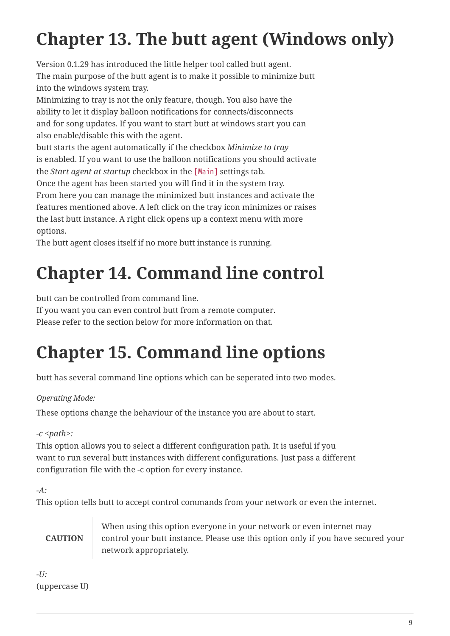# <span id="page-10-0"></span>**Chapter 13. The butt agent (Windows only)**

Version 0.1.29 has introduced the little helper tool called butt agent. The main purpose of the butt agent is to make it possible to minimize butt into the windows system tray.

Minimizing to tray is not the only feature, though. You also have the ability to let it display balloon notifications for connects/disconnects and for song updates. If you want to start butt at windows start you can also enable/disable this with the agent.

butt starts the agent automatically if the checkbox *Minimize to tray* is enabled. If you want to use the balloon notifications you should activate the *Start agent at startup* checkbox in the [Main] settings tab.

Once the agent has been started you will find it in the system tray. From here you can manage the minimized butt instances and activate the features mentioned above. A left click on the tray icon minimizes or raises the last butt instance. A right click opens up a context menu with more options.

The butt agent closes itself if no more butt instance is running.

### <span id="page-10-1"></span>**Chapter 14. Command line control**

butt can be controlled from command line.

If you want you can even control butt from a remote computer.

Please refer to the section below for more information on that.

# <span id="page-10-2"></span>**Chapter 15. Command line options**

butt has several command line options which can be seperated into two modes.

#### *Operating Mode:*

These options change the behaviour of the instance you are about to start.

### *-c <path>:*

This option allows you to select a different configuration path. It is useful if you want to run several butt instances with different configurations. Just pass a different configuration file with the -c option for every instance.

```
-A:
```
This option tells butt to accept control commands from your network or even the internet.

**CAUTION**

When using this option everyone in your network or even internet may control your butt instance. Please use this option only if you have secured your network appropriately.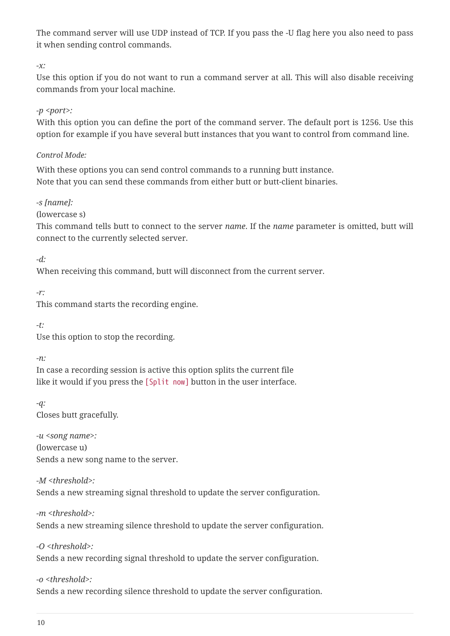The command server will use UDP instead of TCP. If you pass the -U flag here you also need to pass it when sending control commands.

*-x:*

Use this option if you do not want to run a command server at all. This will also disable receiving commands from your local machine.

#### *-p <port>:*

With this option you can define the port of the command server. The default port is 1256. Use this option for example if you have several butt instances that you want to control from command line.

#### *Control Mode:*

With these options you can send control commands to a running butt instance. Note that you can send these commands from either butt or butt-client binaries.

*-s [name]:*

(lowercase s)

This command tells butt to connect to the server *name*. If the *name* parameter is omitted, butt will connect to the currently selected server.

*-d:*

When receiving this command, butt will disconnect from the current server.

*-r:*

This command starts the recording engine.

*-t:*

Use this option to stop the recording.

*-n:*

In case a recording session is active this option splits the current file like it would if you press the [Split now] button in the user interface.

*-q:* Closes butt gracefully.

*-u <song name>:* (lowercase u) Sends a new song name to the server.

```
-M <threshold>:
Sends a new streaming signal threshold to update the server configuration.
```
*-m <threshold>:* Sends a new streaming silence threshold to update the server configuration.

*-O <threshold>:*

Sends a new recording signal threshold to update the server configuration.

*-o <threshold>:*

Sends a new recording silence threshold to update the server configuration.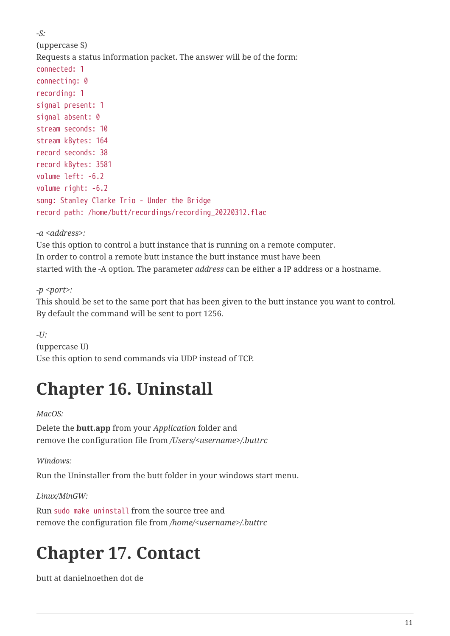```
-S:
(uppercase S)
Requests a status information packet. The answer will be of the form:
connected: 1
connecting: 0
recording: 1
signal present: 1
signal absent: 0
stream seconds: 10
stream kBytes: 164
record seconds: 38
record kBytes: 3581
volume left: -6.2
volume right: -6.2
song: Stanley Clarke Trio - Under the Bridge
record path: /home/butt/recordings/recording_20220312.flac
```
*-a <address>:*

Use this option to control a butt instance that is running on a remote computer. In order to control a remote butt instance the butt instance must have been started with the -A option. The parameter *address* can be either a IP address or a hostname.

*-p <port>:*

This should be set to the same port that has been given to the butt instance you want to control. By default the command will be sent to port 1256.

*-U:* (uppercase U) Use this option to send commands via UDP instead of TCP.

### <span id="page-12-0"></span>**Chapter 16. Uninstall**

*MacOS:*

Delete the **butt.app** from your *Application* folder and remove the configuration file from */Users/<username>/.buttrc*

*Windows:*

Run the Uninstaller from the butt folder in your windows start menu.

*Linux/MinGW:*

Run sudo make uninstall from the source tree and remove the configuration file from */home/<username>/.buttrc*

### <span id="page-12-1"></span>**Chapter 17. Contact**

butt at danielnoethen dot de